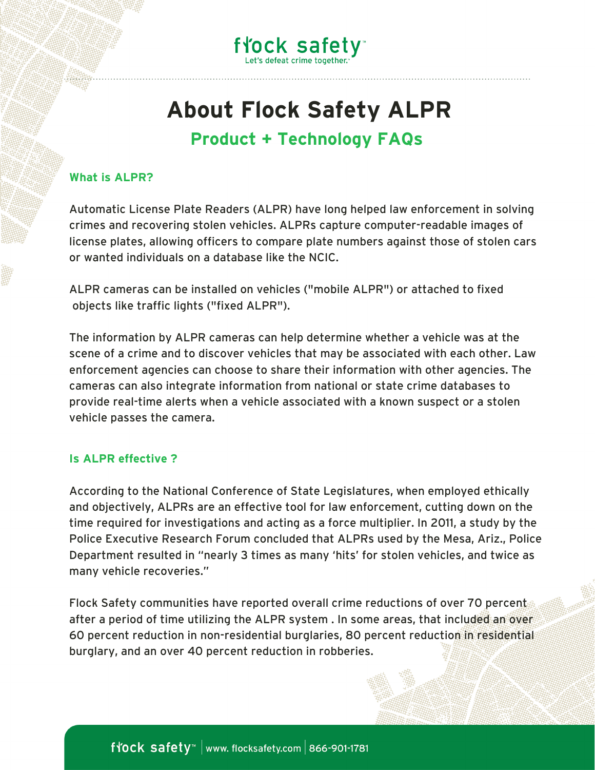

# **About Flock Safety ALPR**

### **Product + Technology FAQs**

#### **What is ALPR?**

Automatic License Plate Readers (ALPR) have long helped law enforcement in solving crimes and recovering stolen vehicles. ALPRs capture computer-readable images of license plates, allowing officers to compare plate numbers against those of stolen cars or wanted individuals on a database like the NCIC.

ALPR cameras can be installed on vehicles ("mobile ALPR") or attached to fixed objects like traffic lights ("fixed ALPR").

The information by ALPR cameras can help determine whether a vehicle was at the scene of a crime and to discover vehicles that may be associated with each other. Law enforcement agencies can choose to share their [information](https://vigilantsolutions.com/about) with other agencies. The cameras can also integrate information from national or state crime databases to provide real-time alerts when a vehicle associated with a known suspect or a stolen vehicle passes the camera.

#### **Is ALPR effective ?**

According to the National Conference of State [Legislatures,](https://www.ncsl.org/research/telecommunications-and-information-technology/automated-license-plate-readers.aspx) when employed ethically and objectively, ALPRs are an effective tool for law enforcement, cutting down on the time required for investigations and acting as a force multiplier. In 2011, a study by the Police Executive Research Forum concluded that ALPRs used by the Mesa, Ariz., Police Department resulted in "nearly 3 times as many 'hits' for stolen vehicles, and twice as many vehicle recoveries."

Flock Safety communities have reported overall crime reductions of over 70 percent after a period of time utilizing the ALPR system . In some areas, that included an over 60 percent reduction in non-residential burglaries, 80 percent reduction in residential burglary, and an over 40 percent reduction in robberies.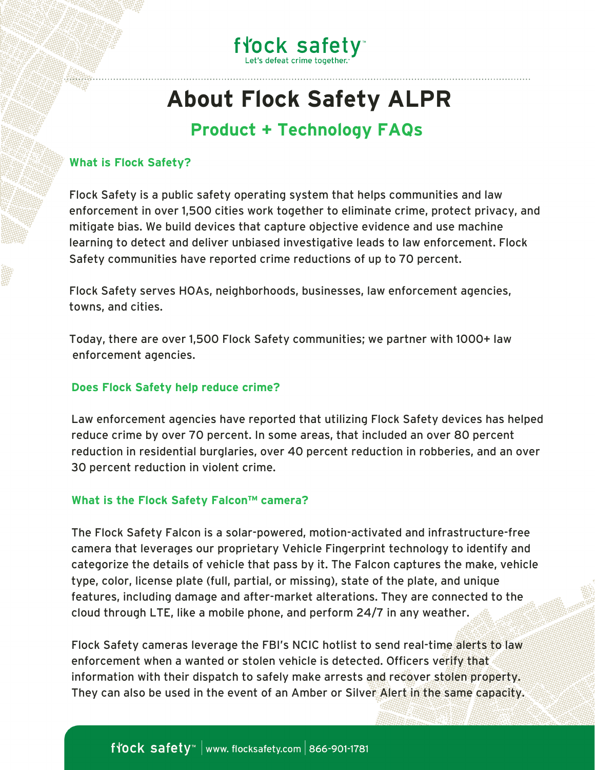

## **About Flock Safety ALPR**

### **Product + Technology FAQs**

#### **What is Flock Safety?**

Flock Safety is a public safety operating system that helps communities and law enforcement in over 1,500 cities work together to eliminate crime, protect privacy, and mitigate bias. We build devices that capture objective evidence and use machine learning to detect and deliver unbiased investigative leads to law enforcement. Flock Safety communities have reported crime reductions of up to 70 percent.

Flock Safety serves HOAs, neighborhoods, businesses, law enforcement agencies, towns, and cities.

Today, there are over 1,500 Flock Safety communities; we partner with 1000+ law enforcement agencies.

#### **Does Flock Safety help reduce crime?**

Law enforcement agencies have reported that utilizing Flock Safety devices has helped reduce crime by over 70 percent. In some areas, that included an over 80 percent reduction in residential burglaries, over 40 percent reduction in robberies, and an over 30 percent reduction in violent crime.

#### **What is the Flock Safety Falcon™ camera?**

The Flock Safety Falcon is a solar-powered, motion-activated and infrastructure-free camera that leverages our proprietary Vehicle Fingerprint technology to identify and categorize the details of vehicle that pass by it. The Falcon captures the make, vehicle type, color, license plate (full, partial, or missing), state of the plate, and unique features, including damage and after-market alterations. They are connected to the cloud through LTE, like a mobile phone, and perform 24/7 in any weather.

Flock Safety cameras leverage the FBI's NCIC hotlist to send real-time alerts to law enforcement when a wanted or stolen vehicle is detected. Officers verify that information with their dispatch to safely make arrests and recover stolen property. They can also be used in the event of an Amber or Silver Alert in the same capacity.